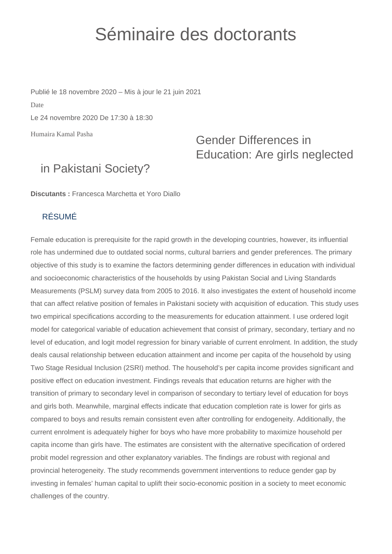## Séminaire des doctorants

Humaira Kamal Pasha Publié le 18 novembre 2020 – Mis à jour le 21 juin 2021 Date Le 24 novembre 2020 De 17:30 à 18:30

## Gender Differences in Education: Are girls neglected

## in Pakistani Society?

**Discutants :** Francesca Marchetta et Yoro Diallo

## RÉSUMÉ

Female education is prerequisite for the rapid growth in the developing countries, however, its influential role has undermined due to outdated social norms, cultural barriers and gender preferences. The primary objective of this study is to examine the factors determining gender differences in education with individual and socioeconomic characteristics of the households by using Pakistan Social and Living Standards Measurements (PSLM) survey data from 2005 to 2016. It also investigates the extent of household income that can affect relative position of females in Pakistani society with acquisition of education. This study uses two empirical specifications according to the measurements for education attainment. I use ordered logit model for categorical variable of education achievement that consist of primary, secondary, tertiary and no level of education, and logit model regression for binary variable of current enrolment. In addition, the study deals causal relationship between education attainment and income per capita of the household by using Two Stage Residual Inclusion (2SRI) method. The household's per capita income provides significant and positive effect on education investment. Findings reveals that education returns are higher with the transition of primary to secondary level in comparison of secondary to tertiary level of education for boys and girls both. Meanwhile, marginal effects indicate that education completion rate is lower for girls as compared to boys and results remain consistent even after controlling for endogeneity. Additionally, the current enrolment is adequately higher for boys who have more probability to maximize household per capita income than girls have. The estimates are consistent with the alternative specification of ordered probit model regression and other explanatory variables. The findings are robust with regional and provincial heterogeneity. The study recommends government interventions to reduce gender gap by investing in females' human capital to uplift their socio-economic position in a society to meet economic challenges of the country.